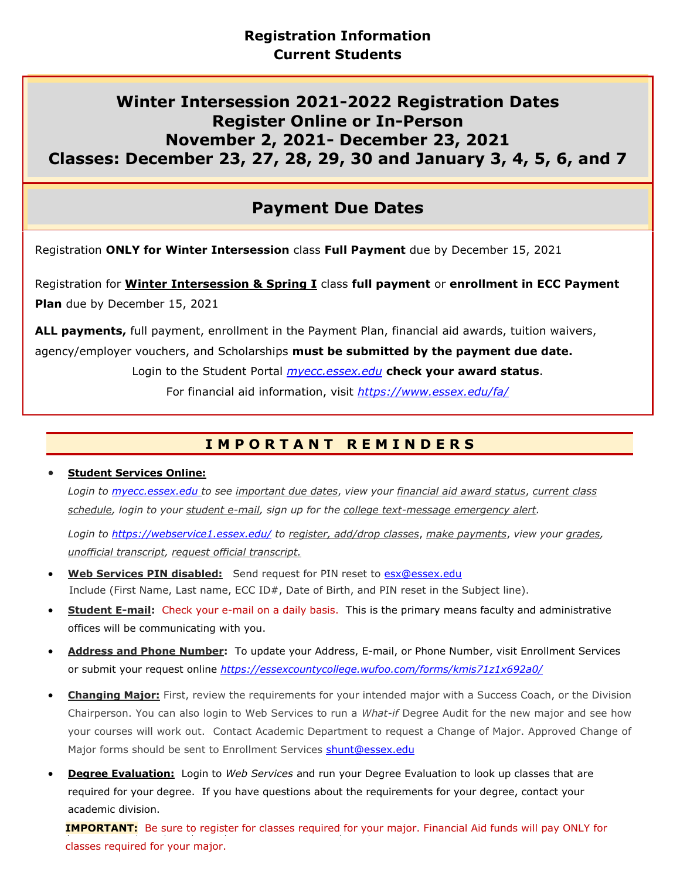# **Winter Intersession 2021-2022 Registration Dates Register Online or In-Person November 2, 2021- December 23, 2021 Classes: December 23, 27, 28, 29, 30 and January 3, 4, 5, 6, and 7**

# **Payment Due Dates**

Registration **ONLY for Winter Intersession** class **Full Payment** due by December 15, 2021

Registration for **Winter Intersession & Spring I** class **full payment** or **enrollment in ECC Payment Plan** due by December 15, 2021

**ALL payments,** full payment, enrollment in the Payment Plan, financial aid awards, tuition waivers, agency/employer vouchers, and Scholarships **must be submitted by the payment due date.**

Login to the Student Portal *[myecc.essex.edu](http://myecc.essex.edu/)* **check your award status**.

For financial aid information, visit *<https://www.essex.edu/fa/>*

## **I M P O R T A N T R E M I N D E R S**

### • **Student Services Online:**

*Login to [myecc.essex.edu](http://myecc.essex.edu/) to see important due dates*, *view your financial aid award status*, *current class schedule, login to your student e-mail, sign up for the college text-message emergency alert.*

*Login to <https://webservice1.essex.edu/> to register, add/drop classes*, *make payments*, *view your grades, unofficial transcript, request official transcript.*

- **Web Services PIN disabled:** Send request for PIN reset to [esx@essex.edu](mailto:esx@essex.edu) Include (First Name, Last name, ECC ID#, Date of Birth, and PIN reset in the Subject line).
- **Student E-mail:** Check your e-mail on a daily basis. This is the primary means faculty and administrative offices will be communicating with you.
- **Address and Phone Number:** To update your Address, E-mail, or Phone Number, visit Enrollment Services or submit your request online *<https://essexcountycollege.wufoo.com/forms/kmis71z1x692a0/>*
- **Changing Major:** First, review the requirements for your intended major with a Success Coach, or the Division Chairperson. You can also login to Web Services to run a *What-if* Degree Audit for the new major and see how your courses will work out. Contact Academic Department to request a Change of Major. Approved Change of Major forms should be sent to Enrollment Services [shunt@essex.edu](mailto:shunt@essex.edu)
- **Degree Evaluation:** Login to *Web Services* and run your Degree Evaluation to look up classes that are required for your degree. If you have questions about the requirements for your degree, contact your academic division.

 **IMPORTANT:** Be sure to register for classes required for your major. Financial Aid funds will pay ONLY for classes required for your major.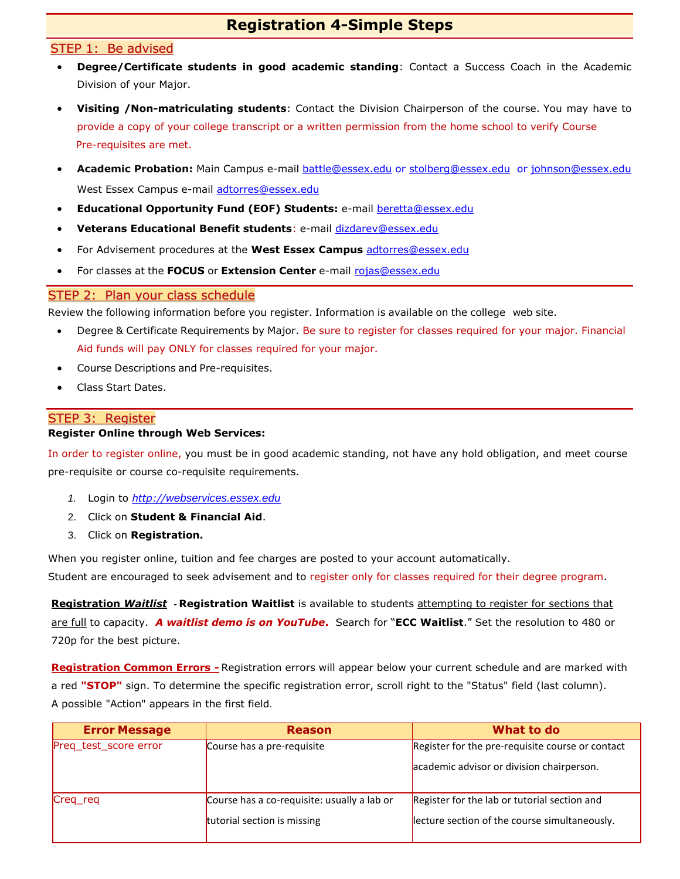### **Registration 4-Simple Steps**

#### STEP 1: Be advised

- **Degree/Certificate students in good academic standing**: Contact a Success Coach in the Academic Division of your Major.
- **Visiting /Non-matriculating students**: Contact the Division Chairperson of the course. You may have to provide a copy of your college transcript or a written permission from the home school to verify Course Pre-requisites are met.
- **Academic Probation:** Main Campus e-mail [battle@essex.edu](mailto:battle@essex.edu) or [stolberg@essex.edu](mailto:stolberg@essex.edu) or [johnson@essex.edu](mailto:johnson@essex.edu) West Essex Campus e-mail [adtorres@essex.edu](mailto:adtorres@essex.edu)
- **Educational Opportunity Fund (EOF) Students:** e-mail [beretta@essex.edu](mailto:beretta@essex.edu)
- **Veterans Educational Benefit students**: e-mail [dizdarev@essex.edu](mailto:dizdarev@essex.edu)
- For Advisement procedures at the **West Essex Campus** [adtorres@essex.edu](mailto:adtorres@essex.edu)
- For classes at the **FOCUS** or **Extension Center** e-mail [rojas@essex.edu](mailto:rojas@essex.edu)

#### STEP 2: Plan your class schedule

Review the following information before you register. Information is available on the college web site.

- Degree & Certificate Requirements by Major. Be sure to register for classes required for your major. Financial Aid funds will pay ONLY for classes required for your major.
- Course Descriptions and Pre-requisites.
- Class Start Dates.

#### STEP 3: Register

#### **Register Online through Web Services:**

In order to register online, you must be in good academic standing, not have any hold obligation, and meet course pre-requisite or course co-requisite requirements.

- *1.* Login to *http://[webservices.essex.edu](http://webservices.essex.edu/)*
- 2. Click on **Student & Financial Aid**.
- 3. Click on **Registration.**

When you register online, tuition and fee charges are posted to your account automatically.

Student are encouraged to seek advisement and to register only for classes required for their degree program.

**Registration** *Waitlist* **- Registration Waitlist** is available to students attempting to register for sections that are full to capacity.*A waitlist demo is on YouTube***.** Search for "**ECC Waitlist**." Set the resolution to 480 or 720p for the best picture.

**Registration Common Errors -** Registration errors will appear below your current schedule and are marked with a red **"STOP"** sign. To determine the specific registration error, scroll right to the "Status" field (last column). A possible "Action" appears in the first field.

| <b>Error Message</b>  | <b>Reason</b>                               | What to do                                       |
|-----------------------|---------------------------------------------|--------------------------------------------------|
| Preq_test_score error | Course has a pre-requisite                  | Register for the pre-requisite course or contact |
|                       |                                             | academic advisor or division chairperson.        |
| Creq_req              | Course has a co-requisite: usually a lab or | Register for the lab or tutorial section and     |
|                       | tutorial section is missing                 | lecture section of the course simultaneously.    |